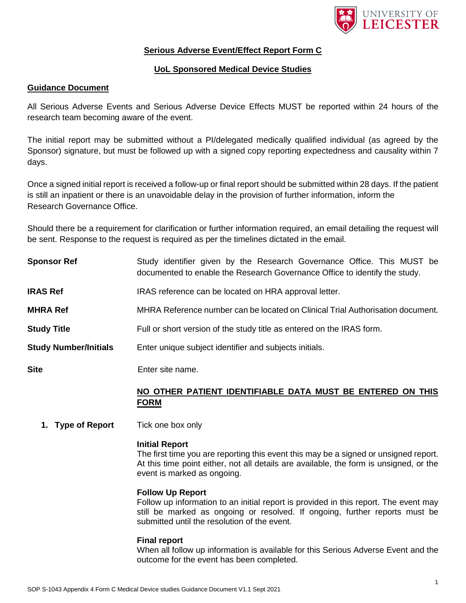

# **Serious Adverse Event/Effect Report Form C**

# **UoL Sponsored Medical Device Studies**

## **Guidance Document**

All Serious Adverse Events and Serious Adverse Device Effects MUST be reported within 24 hours of the research team becoming aware of the event.

The initial report may be submitted without a PI/delegated medically qualified individual (as agreed by the Sponsor) signature, but must be followed up with a signed copy reporting expectedness and causality within 7 days.

Once a signed initial report is received a follow-up or final report should be submitted within 28 days. If the patient is still an inpatient or there is an unavoidable delay in the provision of further information, inform the Research Governance Office.

Should there be a requirement for clarification or further information required, an email detailing the request will be sent. Response to the request is required as per the timelines dictated in the email.

| <b>IRAS Ref</b><br><b>MHRA Ref</b> | IRAS reference can be located on HRA approval letter.<br>MHRA Reference number can be located on Clinical Trial Authorisation document. |
|------------------------------------|-----------------------------------------------------------------------------------------------------------------------------------------|
| <b>Study Title</b>                 | Full or short version of the study title as entered on the IRAS form.                                                                   |
| <b>Study Number/Initials</b>       | Enter unique subject identifier and subjects initials.                                                                                  |
| <b>Site</b>                        | Enter site name.                                                                                                                        |
|                                    | NO OTHER PATIENT IDENTIFIABLE DATA MUST BE ENTERED ON THIS                                                                              |

# **NO OTHER PATIENT IDENTIFIABLE DATA MUST BE ENTERED ON THIS FORM**

**1. Type of Report** Tick one box only

### **Initial Report**

The first time you are reporting this event this may be a signed or unsigned report. At this time point either, not all details are available, the form is unsigned, or the event is marked as ongoing.

## **Follow Up Report**

Follow up information to an initial report is provided in this report. The event may still be marked as ongoing or resolved. If ongoing, further reports must be submitted until the resolution of the event.

### **Final report**

When all follow up information is available for this Serious Adverse Event and the outcome for the event has been completed.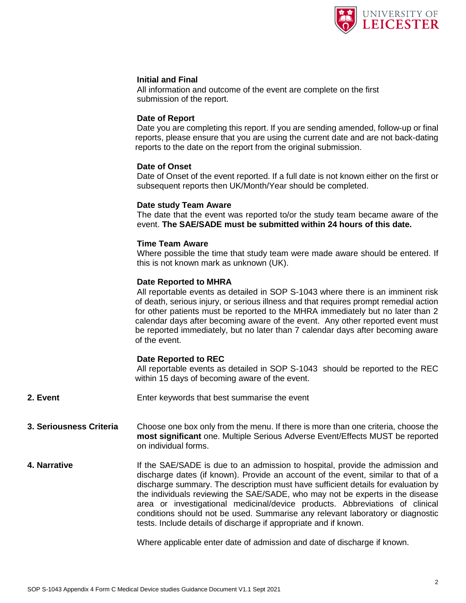

### **Initial and Final**

All information and outcome of the event are complete on the first submission of the report.

### **Date of Report**

Date you are completing this report. If you are sending amended, follow-up or final reports, please ensure that you are using the current date and are not back-dating reports to the date on the report from the original submission.

### **Date of Onset**

Date of Onset of the event reported. If a full date is not known either on the first or subsequent reports then UK/Month/Year should be completed.

#### **Date study Team Aware**

The date that the event was reported to/or the study team became aware of the event. **The SAE/SADE must be submitted within 24 hours of this date.**

#### **Time Team Aware**

Where possible the time that study team were made aware should be entered. If this is not known mark as unknown (UK).

#### **Date Reported to MHRA**

All reportable events as detailed in SOP S-1043 where there is an imminent risk of death, serious injury, or serious illness and that requires prompt remedial action for other patients must be reported to the MHRA immediately but no later than 2 calendar days after becoming aware of the event. Any other reported event must be reported immediately, but no later than 7 calendar days after becoming aware of the event.

#### **Date Reported to REC**

All reportable events as detailed in SOP S-1043 should be reported to the REC within 15 days of becoming aware of the event.

- **2. Event** Enter keywords that best summarise the event
- **3. Seriousness Criteria** Choose one box only from the menu. If there is more than one criteria, choose the **most significant** one. Multiple Serious Adverse Event/Effects MUST be reported on individual forms.
- **4. Narrative If the SAE/SADE** is due to an admission to hospital, provide the admission and discharge dates (if known). Provide an account of the event, similar to that of a discharge summary. The description must have sufficient details for evaluation by the individuals reviewing the SAE/SADE, who may not be experts in the disease area or investigational medicinal/device products. Abbreviations of clinical conditions should not be used. Summarise any relevant laboratory or diagnostic tests. Include details of discharge if appropriate and if known.

Where applicable enter date of admission and date of discharge if known.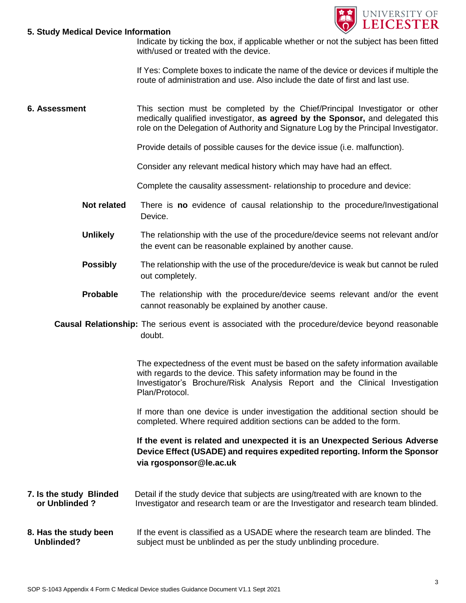

#### **5. Study Medical Device Information**

Indicate by ticking the box, if applicable whether or not the subject has been fitted with/used or treated with the device.

If Yes: Complete boxes to indicate the name of the device or devices if multiple the route of administration and use. Also include the date of first and last use.

**6. Assessment** This section must be completed by the Chief/Principal Investigator or other medically qualified investigator, **as agreed by the Sponsor,** and delegated this role on the Delegation of Authority and Signature Log by the Principal Investigator.

Provide details of possible causes for the device issue (i.e. malfunction).

Consider any relevant medical history which may have had an effect.

Complete the causality assessment- relationship to procedure and device:

- **Not related** There is **no** evidence of causal relationship to the procedure/Investigational Device.
- **Unlikely** The relationship with the use of the procedure/device seems not relevant and/or the event can be reasonable explained by another cause.
- **Possibly** The relationship with the use of the procedure/device is weak but cannot be ruled out completely.
- **Probable** The relationship with the procedure/device seems relevant and/or the event cannot reasonably be explained by another cause.
- **Causal Relationship:** The serious event is associated with the procedure/device beyond reasonable doubt.

The expectedness of the event must be based on the safety information available with regards to the device. This safety information may be found in the Investigator's Brochure/Risk Analysis Report and the Clinical Investigation Plan/Protocol.

If more than one device is under investigation the additional section should be completed. Where required addition sections can be added to the form.

**If the event is related and unexpected it is an Unexpected Serious Adverse Device Effect (USADE) and requires expedited reporting. Inform the Sponsor via rgosponsor@le.ac.uk**

- **7. Is the study Blinded** Detail if the study device that subjects are using/treated with are known to the  **or Unblinded ?** Investigator and research team or are the Investigator and research team blinded.
- **8. Has the study been** If the event is classified as a USADE where the research team are blinded. The **Unblinded?** subject must be unblinded as per the study unblinding procedure.